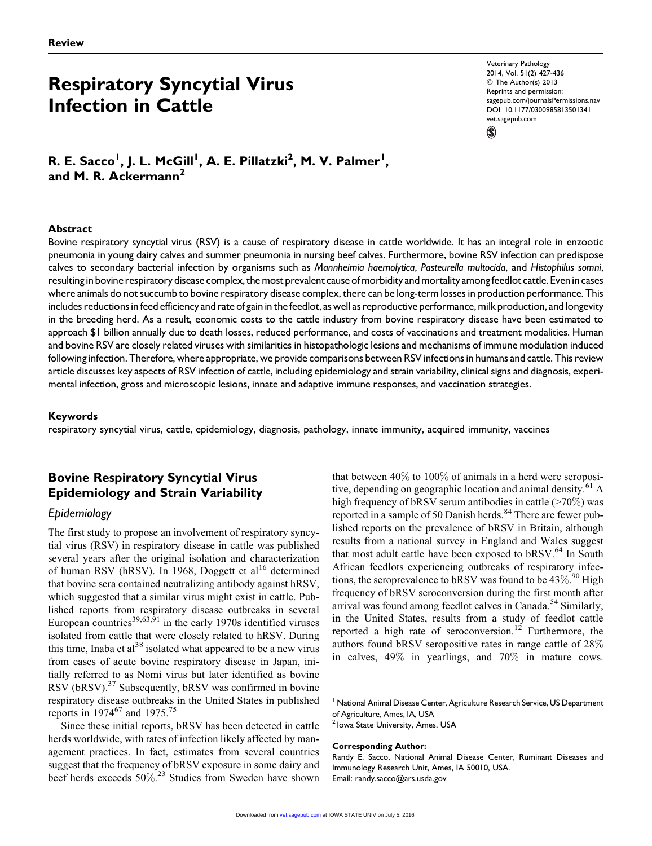# Respiratory Syncytial Virus Infection in Cattle

Veterinary Pathology 2014, Vol. 51(2) 427-436 © The Author(s) 2013 Reprints and permission: [sagepub.com/journalsPermissions.nav](http://www.sagepub.com/journalsPermissions.nav) DOI: 10.1177/0300985813501341 [vet.sagepub.com](http://vet.sagepub.com)



# R. E. Sacco<sup>I</sup>, J. L. McGill<sup>I</sup>, A. E. Pillatzki<sup>2</sup>, M. V. Palmer<sup>I</sup>, and M. R. Ackermann<sup>2</sup>

## Abstract

Bovine respiratory syncytial virus (RSV) is a cause of respiratory disease in cattle worldwide. It has an integral role in enzootic pneumonia in young dairy calves and summer pneumonia in nursing beef calves. Furthermore, bovine RSV infection can predispose calves to secondary bacterial infection by organisms such as Mannheimia haemolytica, Pasteurella multocida, and Histophilus somni, resulting in bovine respiratory disease complex, the most prevalent cause of morbidity and mortality among feedlot cattle. Even in cases where animals do not succumb to bovine respiratory disease complex, there can be long-term losses in production performance. This includes reductions in feed efficiency and rate of gain in the feedlot, as well as reproductive performance, milk production, and longevity in the breeding herd. As a result, economic costs to the cattle industry from bovine respiratory disease have been estimated to approach \$1 billion annually due to death losses, reduced performance, and costs of vaccinations and treatment modalities. Human and bovine RSV are closely related viruses with similarities in histopathologic lesions and mechanisms of immune modulation induced following infection. Therefore, where appropriate, we provide comparisons between RSV infections in humans and cattle. This review article discusses key aspects of RSV infection of cattle, including epidemiology and strain variability, clinical signs and diagnosis, experimental infection, gross and microscopic lesions, innate and adaptive immune responses, and vaccination strategies.

## Keywords

respiratory syncytial virus, cattle, epidemiology, diagnosis, pathology, innate immunity, acquired immunity, vaccines

# Bovine Respiratory Syncytial Virus Epidemiology and Strain Variability

# Epidemiology

The first study to propose an involvement of respiratory syncytial virus (RSV) in respiratory disease in cattle was published several years after the original isolation and characterization of human RSV (hRSV). In 1968, Doggett et al<sup>16</sup> determined that bovine sera contained neutralizing antibody against hRSV, which suggested that a similar virus might exist in cattle. Published reports from respiratory disease outbreaks in several European countries $^{39,63,\overline{9}1}$  in the early 1970s identified viruses isolated from cattle that were closely related to hRSV. During this time, Inaba et  $a^{38}$  isolated what appeared to be a new virus from cases of acute bovine respiratory disease in Japan, initially referred to as Nomi virus but later identified as bovine RSV (bRSV).<sup>37</sup> Subsequently, bRSV was confirmed in bovine respiratory disease outbreaks in the United States in published reports in  $1974^{67}$  and  $1975.^{75}$ 

Since these initial reports, bRSV has been detected in cattle herds worldwide, with rates of infection likely affected by management practices. In fact, estimates from several countries suggest that the frequency of bRSV exposure in some dairy and beef herds exceeds 50%. <sup>23</sup> Studies from Sweden have shown

that between 40% to 100% of animals in a herd were seropositive, depending on geographic location and animal density. $^{61}$  A high frequency of bRSV serum antibodies in cattle  $(>70\%)$  was reported in a sample of 50 Danish herds.<sup>84</sup> There are fewer published reports on the prevalence of bRSV in Britain, although results from a national survey in England and Wales suggest that most adult cattle have been exposed to bRSV.<sup>64</sup> In South African feedlots experiencing outbreaks of respiratory infections, the seroprevalence to bRSV was found to be 43%.<sup>90</sup> High frequency of bRSV seroconversion during the first month after arrival was found among feedlot calves in Canada.<sup>54</sup> Similarly, in the United States, results from a study of feedlot cattle reported a high rate of seroconversion.<sup>12</sup> Furthermore, the authors found bRSV seropositive rates in range cattle of 28% in calves, 49% in yearlings, and 70% in mature cows.

#### Corresponding Author:

<sup>&</sup>lt;sup>1</sup> National Animal Disease Center, Agriculture Research Service, US Department of Agriculture, Ames, IA, USA

<sup>&</sup>lt;sup>2</sup> Iowa State University, Ames, USA

Randy E. Sacco, National Animal Disease Center, Ruminant Diseases and Immunology Research Unit, Ames, IA 50010, USA. Email: randy.sacco@ars.usda.gov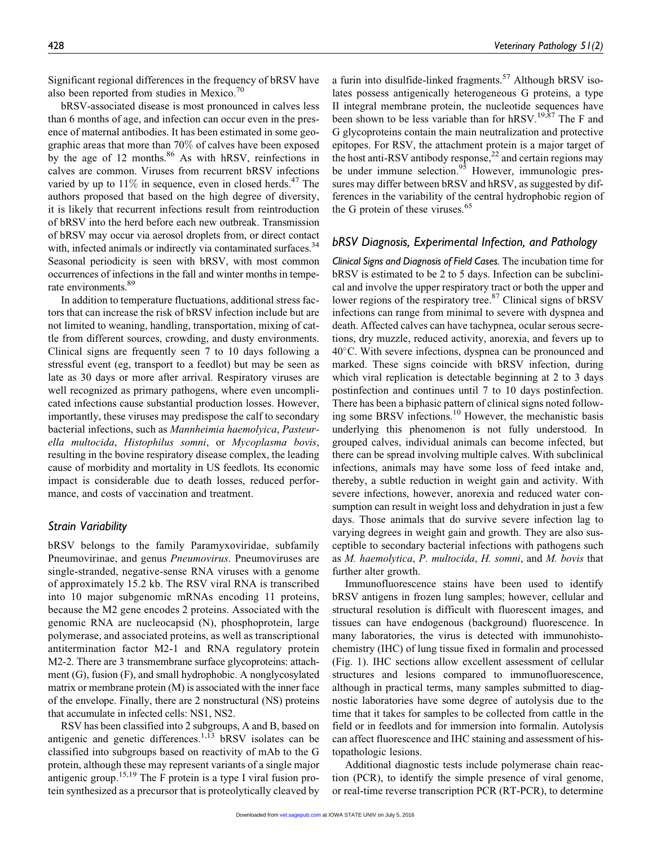Significant regional differences in the frequency of bRSV have also been reported from studies in Mexico. $\frac{70}{10}$ 

bRSV-associated disease is most pronounced in calves less than 6 months of age, and infection can occur even in the presence of maternal antibodies. It has been estimated in some geographic areas that more than 70% of calves have been exposed by the age of 12 months.<sup>86</sup> As with hRSV, reinfections in calves are common. Viruses from recurrent bRSV infections varied by up to  $11\%$  in sequence, even in closed herds.<sup>47</sup> The authors proposed that based on the high degree of diversity, it is likely that recurrent infections result from reintroduction of bRSV into the herd before each new outbreak. Transmission of bRSV may occur via aerosol droplets from, or direct contact with, infected animals or indirectly via contaminated surfaces.<sup>34</sup> Seasonal periodicity is seen with bRSV, with most common occurrences of infections in the fall and winter months in temperate environments.<sup>89</sup>

In addition to temperature fluctuations, additional stress factors that can increase the risk of bRSV infection include but are not limited to weaning, handling, transportation, mixing of cattle from different sources, crowding, and dusty environments. Clinical signs are frequently seen 7 to 10 days following a stressful event (eg, transport to a feedlot) but may be seen as late as 30 days or more after arrival. Respiratory viruses are well recognized as primary pathogens, where even uncomplicated infections cause substantial production losses. However, importantly, these viruses may predispose the calf to secondary bacterial infections, such as Mannheimia haemolyica, Pasteurella multocida, Histophilus somni, or Mycoplasma bovis, resulting in the bovine respiratory disease complex, the leading cause of morbidity and mortality in US feedlots. Its economic impact is considerable due to death losses, reduced performance, and costs of vaccination and treatment.

# Strain Variability

bRSV belongs to the family Paramyxoviridae, subfamily Pneumovirinae, and genus Pneumovirus. Pneumoviruses are single-stranded, negative-sense RNA viruses with a genome of approximately 15.2 kb. The RSV viral RNA is transcribed into 10 major subgenomic mRNAs encoding 11 proteins, because the M2 gene encodes 2 proteins. Associated with the genomic RNA are nucleocapsid (N), phosphoprotein, large polymerase, and associated proteins, as well as transcriptional antitermination factor M2-1 and RNA regulatory protein M2-2. There are 3 transmembrane surface glycoproteins: attachment (G), fusion (F), and small hydrophobic. A nonglycosylated matrix or membrane protein (M) is associated with the inner face of the envelope. Finally, there are 2 nonstructural (NS) proteins that accumulate in infected cells: NS1, NS2.

RSV has been classified into 2 subgroups, A and B, based on antigenic and genetic differences.<sup>1,13</sup> bRSV isolates can be classified into subgroups based on reactivity of mAb to the G protein, although these may represent variants of a single major antigenic group.<sup>15,19</sup> The F protein is a type I viral fusion protein synthesized as a precursor that is proteolytically cleaved by a furin into disulfide-linked fragments.<sup>57</sup> Although bRSV isolates possess antigenically heterogeneous G proteins, a type II integral membrane protein, the nucleotide sequences have been shown to be less variable than for hRSV.<sup>19,87</sup> The F and G glycoproteins contain the main neutralization and protective epitopes. For RSV, the attachment protein is a major target of the host anti-RSV antibody response, $^{22}$  and certain regions may be under immune selection.<sup>95</sup> However, immunologic pressures may differ between bRSV and hRSV, as suggested by differences in the variability of the central hydrophobic region of the G protein of these viruses. $65$ 

# bRSV Diagnosis, Experimental Infection, and Pathology

Clinical Signs and Diagnosis of Field Cases. The incubation time for bRSV is estimated to be 2 to 5 days. Infection can be subclinical and involve the upper respiratory tract or both the upper and lower regions of the respiratory tree.<sup>87</sup> Clinical signs of bRSV infections can range from minimal to severe with dyspnea and death. Affected calves can have tachypnea, ocular serous secretions, dry muzzle, reduced activity, anorexia, and fevers up to 40°C. With severe infections, dyspnea can be pronounced and marked. These signs coincide with bRSV infection, during which viral replication is detectable beginning at 2 to 3 days postinfection and continues until 7 to 10 days postinfection. There has been a biphasic pattern of clinical signs noted following some BRSV infections.<sup>10</sup> However, the mechanistic basis underlying this phenomenon is not fully understood. In grouped calves, individual animals can become infected, but there can be spread involving multiple calves. With subclinical infections, animals may have some loss of feed intake and, thereby, a subtle reduction in weight gain and activity. With severe infections, however, anorexia and reduced water consumption can result in weight loss and dehydration in just a few days. Those animals that do survive severe infection lag to varying degrees in weight gain and growth. They are also susceptible to secondary bacterial infections with pathogens such as M. haemolytica, P. multocida, H. somni, and M. bovis that further alter growth.

Immunofluorescence stains have been used to identify bRSV antigens in frozen lung samples; however, cellular and structural resolution is difficult with fluorescent images, and tissues can have endogenous (background) fluorescence. In many laboratories, the virus is detected with immunohistochemistry (IHC) of lung tissue fixed in formalin and processed (Fig. 1). IHC sections allow excellent assessment of cellular structures and lesions compared to immunofluorescence, although in practical terms, many samples submitted to diagnostic laboratories have some degree of autolysis due to the time that it takes for samples to be collected from cattle in the field or in feedlots and for immersion into formalin. Autolysis can affect fluorescence and IHC staining and assessment of histopathologic lesions.

Additional diagnostic tests include polymerase chain reaction (PCR), to identify the simple presence of viral genome, or real-time reverse transcription PCR (RT-PCR), to determine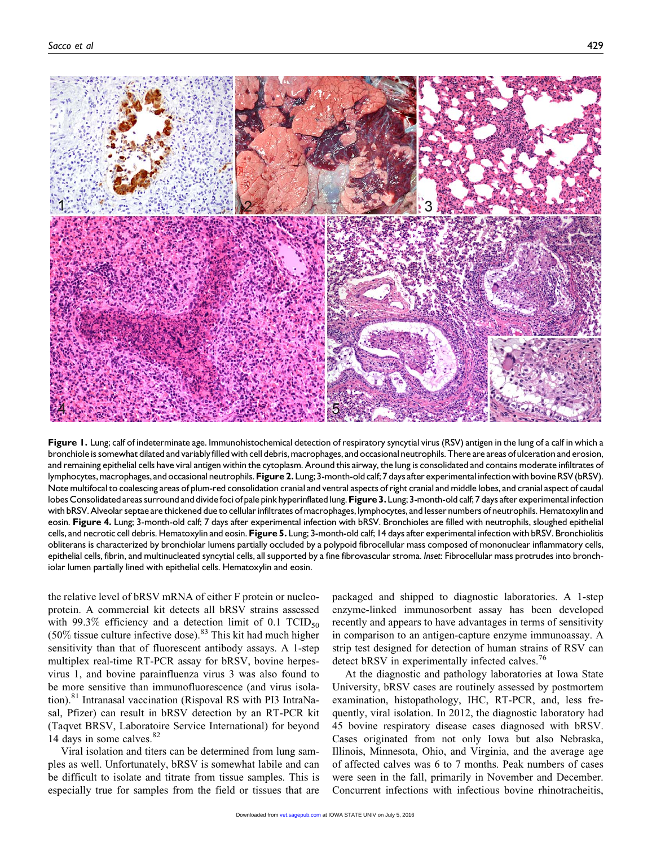

Figure 1. Lung; calf of indeterminate age. Immunohistochemical detection of respiratory syncytial virus (RSV) antigen in the lung of a calf in which a bronchiole is somewhat dilated and variably filled with cell debris, macrophages, and occasional neutrophils. There are areas of ulceration and erosion, and remaining epithelial cells have viral antigen within the cytoplasm. Around this airway, the lung is consolidated and contains moderate infiltrates of lymphocytes, macrophages, and occasional neutrophils. Figure 2. Lung; 3-month-old calf; 7 days after experimental infection with bovine RSV (bRSV). Note multifocal to coalescing areas of plum-red consolidation cranial and ventral aspects of right cranial and middle lobes, and cranial aspect of caudal lobes Consolidated areas surround and divide foci of pale pink hyperinflated lung. Figure 3. Lung; 3-month-old calf; 7 days after experimental infection with bRSV. Alveolar septae are thickened due to cellular infiltrates of macrophages, lymphocytes, and lesser numbers of neutrophils. Hematoxylin and eosin. Figure 4. Lung; 3-month-old calf; 7 days after experimental infection with bRSV. Bronchioles are filled with neutrophils, sloughed epithelial cells, and necrotic cell debris. Hematoxylin and eosin. Figure 5. Lung; 3-month-old calf; 14 days after experimental infection with bRSV. Bronchiolitis obliterans is characterized by bronchiolar lumens partially occluded by a polypoid fibrocellular mass composed of mononuclear inflammatory cells, epithelial cells, fibrin, and multinucleated syncytial cells, all supported by a fine fibrovascular stroma. Inset: Fibrocellular mass protrudes into bronchiolar lumen partially lined with epithelial cells. Hematoxylin and eosin.

the relative level of bRSV mRNA of either F protein or nucleoprotein. A commercial kit detects all bRSV strains assessed with 99.3% efficiency and a detection limit of 0.1  $TCID_{50}$  $(50\%$  tissue culture infective dose).<sup>83</sup> This kit had much higher sensitivity than that of fluorescent antibody assays. A 1-step multiplex real-time RT-PCR assay for bRSV, bovine herpesvirus 1, and bovine parainfluenza virus 3 was also found to be more sensitive than immunofluorescence (and virus isolation).<sup>81</sup> Intranasal vaccination (Rispoval RS with PI3 IntraNasal, Pfizer) can result in bRSV detection by an RT-PCR kit (Taqvet BRSV, Laboratoire Service International) for beyond 14 days in some calves.<sup>82</sup>

Viral isolation and titers can be determined from lung samples as well. Unfortunately, bRSV is somewhat labile and can be difficult to isolate and titrate from tissue samples. This is especially true for samples from the field or tissues that are

packaged and shipped to diagnostic laboratories. A 1-step enzyme-linked immunosorbent assay has been developed recently and appears to have advantages in terms of sensitivity in comparison to an antigen-capture enzyme immunoassay. A strip test designed for detection of human strains of RSV can detect bRSV in experimentally infected calves.<sup>76</sup>

At the diagnostic and pathology laboratories at Iowa State University, bRSV cases are routinely assessed by postmortem examination, histopathology, IHC, RT-PCR, and, less frequently, viral isolation. In 2012, the diagnostic laboratory had 45 bovine respiratory disease cases diagnosed with bRSV. Cases originated from not only Iowa but also Nebraska, Illinois, Minnesota, Ohio, and Virginia, and the average age of affected calves was 6 to 7 months. Peak numbers of cases were seen in the fall, primarily in November and December. Concurrent infections with infectious bovine rhinotracheitis,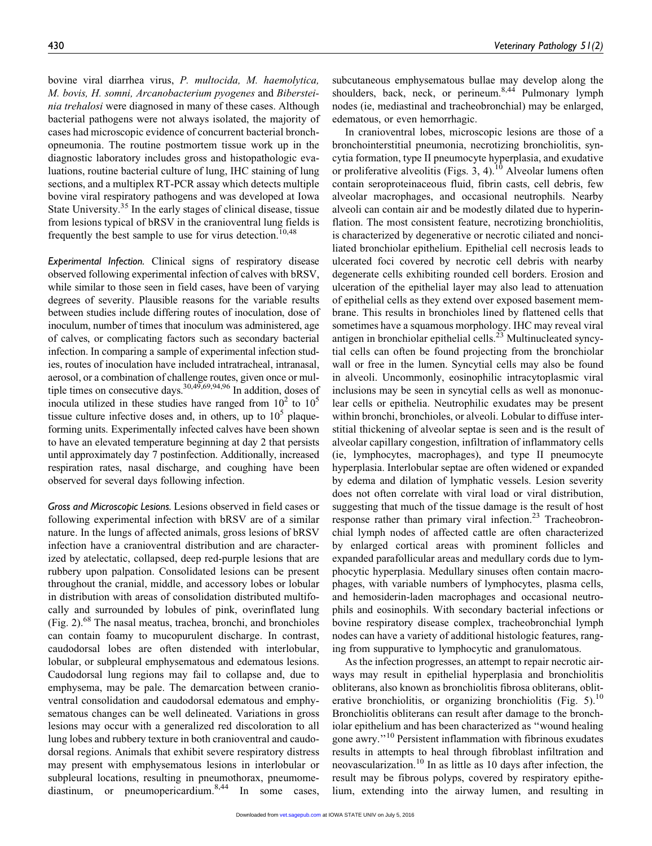bovine viral diarrhea virus, P. multocida, M. haemolytica, M. bovis, H. somni, Arcanobacterium pyogenes and Bibersteinia trehalosi were diagnosed in many of these cases. Although bacterial pathogens were not always isolated, the majority of cases had microscopic evidence of concurrent bacterial bronchopneumonia. The routine postmortem tissue work up in the diagnostic laboratory includes gross and histopathologic evaluations, routine bacterial culture of lung, IHC staining of lung sections, and a multiplex RT-PCR assay which detects multiple bovine viral respiratory pathogens and was developed at Iowa State University.<sup>35</sup> In the early stages of clinical disease, tissue from lesions typical of bRSV in the cranioventral lung fields is frequently the best sample to use for virus detection.<sup>10,48</sup>

Experimental Infection. Clinical signs of respiratory disease observed following experimental infection of calves with bRSV, while similar to those seen in field cases, have been of varying degrees of severity. Plausible reasons for the variable results between studies include differing routes of inoculation, dose of inoculum, number of times that inoculum was administered, age of calves, or complicating factors such as secondary bacterial infection. In comparing a sample of experimental infection studies, routes of inoculation have included intratracheal, intranasal, aerosol, or a combination of challenge routes, given once or multiple times on consecutive days.<sup>30,49,69,94,96</sup> In addition, doses of inocula utilized in these studies have ranged from  $10^2$  to  $10^5$ tissue culture infective doses and, in others, up to  $10<sup>5</sup>$  plaqueforming units. Experimentally infected calves have been shown to have an elevated temperature beginning at day 2 that persists until approximately day 7 postinfection. Additionally, increased respiration rates, nasal discharge, and coughing have been observed for several days following infection.

Gross and Microscopic Lesions. Lesions observed in field cases or following experimental infection with bRSV are of a similar nature. In the lungs of affected animals, gross lesions of bRSV infection have a cranioventral distribution and are characterized by atelectatic, collapsed, deep red-purple lesions that are rubbery upon palpation. Consolidated lesions can be present throughout the cranial, middle, and accessory lobes or lobular in distribution with areas of consolidation distributed multifocally and surrounded by lobules of pink, overinflated lung  $(Fig. 2)$ <sup>68</sup>. The nasal meatus, trachea, bronchi, and bronchioles can contain foamy to mucopurulent discharge. In contrast, caudodorsal lobes are often distended with interlobular, lobular, or subpleural emphysematous and edematous lesions. Caudodorsal lung regions may fail to collapse and, due to emphysema, may be pale. The demarcation between cranioventral consolidation and caudodorsal edematous and emphysematous changes can be well delineated. Variations in gross lesions may occur with a generalized red discoloration to all lung lobes and rubbery texture in both cranioventral and caudodorsal regions. Animals that exhibit severe respiratory distress may present with emphysematous lesions in interlobular or subpleural locations, resulting in pneumothorax, pneumomediastinum, or pneumopericardium.<sup>8,44</sup> In some cases,

subcutaneous emphysematous bullae may develop along the shoulders, back, neck, or perineum.<sup>8,44</sup> Pulmonary lymph nodes (ie, mediastinal and tracheobronchial) may be enlarged, edematous, or even hemorrhagic.

In cranioventral lobes, microscopic lesions are those of a bronchointerstitial pneumonia, necrotizing bronchiolitis, syncytia formation, type II pneumocyte hyperplasia, and exudative or proliferative alveolitis (Figs. 3, 4).<sup>10</sup> Alveolar lumens often contain seroproteinaceous fluid, fibrin casts, cell debris, few alveolar macrophages, and occasional neutrophils. Nearby alveoli can contain air and be modestly dilated due to hyperinflation. The most consistent feature, necrotizing bronchiolitis, is characterized by degenerative or necrotic ciliated and nonciliated bronchiolar epithelium. Epithelial cell necrosis leads to ulcerated foci covered by necrotic cell debris with nearby degenerate cells exhibiting rounded cell borders. Erosion and ulceration of the epithelial layer may also lead to attenuation of epithelial cells as they extend over exposed basement membrane. This results in bronchioles lined by flattened cells that sometimes have a squamous morphology. IHC may reveal viral antigen in bronchiolar epithelial cells.<sup>23</sup> Multinucleated syncytial cells can often be found projecting from the bronchiolar wall or free in the lumen. Syncytial cells may also be found in alveoli. Uncommonly, eosinophilic intracytoplasmic viral inclusions may be seen in syncytial cells as well as mononuclear cells or epithelia. Neutrophilic exudates may be present within bronchi, bronchioles, or alveoli. Lobular to diffuse interstitial thickening of alveolar septae is seen and is the result of alveolar capillary congestion, infiltration of inflammatory cells (ie, lymphocytes, macrophages), and type II pneumocyte hyperplasia. Interlobular septae are often widened or expanded by edema and dilation of lymphatic vessels. Lesion severity does not often correlate with viral load or viral distribution, suggesting that much of the tissue damage is the result of host response rather than primary viral infection.<sup>23</sup> Tracheobronchial lymph nodes of affected cattle are often characterized by enlarged cortical areas with prominent follicles and expanded parafollicular areas and medullary cords due to lymphocytic hyperplasia. Medullary sinuses often contain macrophages, with variable numbers of lymphocytes, plasma cells, and hemosiderin-laden macrophages and occasional neutrophils and eosinophils. With secondary bacterial infections or bovine respiratory disease complex, tracheobronchial lymph nodes can have a variety of additional histologic features, ranging from suppurative to lymphocytic and granulomatous.

As the infection progresses, an attempt to repair necrotic airways may result in epithelial hyperplasia and bronchiolitis obliterans, also known as bronchiolitis fibrosa obliterans, obliterative bronchiolitis, or organizing bronchiolitis (Fig. 5).<sup>10</sup> Bronchiolitis obliterans can result after damage to the bronchiolar epithelium and has been characterized as ''wound healing gone awry.''10 Persistent inflammation with fibrinous exudates results in attempts to heal through fibroblast infiltration and neovascularization.<sup>10</sup> In as little as 10 days after infection, the result may be fibrous polyps, covered by respiratory epithelium, extending into the airway lumen, and resulting in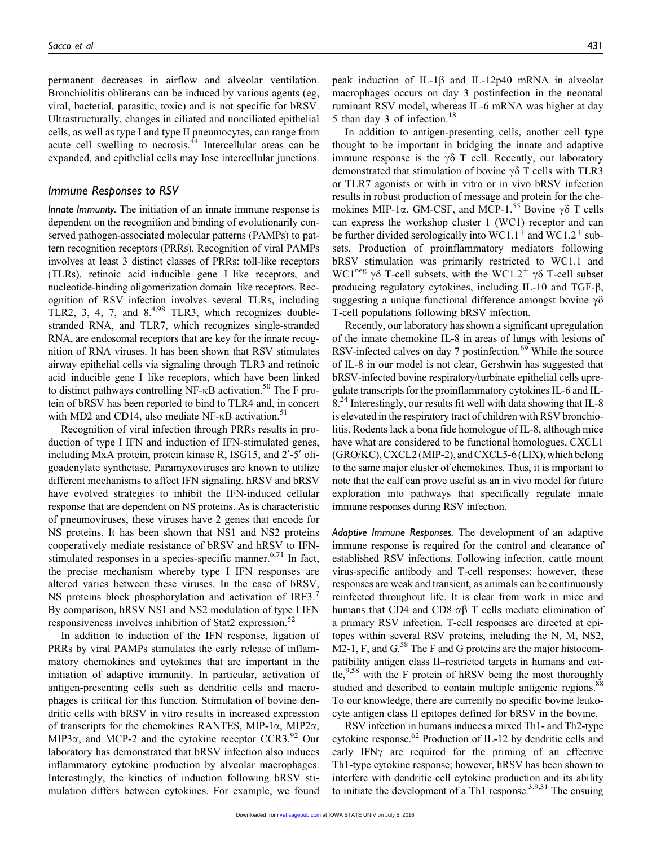permanent decreases in airflow and alveolar ventilation. Bronchiolitis obliterans can be induced by various agents (eg, viral, bacterial, parasitic, toxic) and is not specific for bRSV. Ultrastructurally, changes in ciliated and nonciliated epithelial cells, as well as type I and type II pneumocytes, can range from acute cell swelling to necrosis.<sup>44</sup> Intercellular areas can be expanded, and epithelial cells may lose intercellular junctions.

## Immune Responses to RSV

Innate Immunity. The initiation of an innate immune response is dependent on the recognition and binding of evolutionarily conserved pathogen-associated molecular patterns (PAMPs) to pattern recognition receptors (PRRs). Recognition of viral PAMPs involves at least 3 distinct classes of PRRs: toll-like receptors (TLRs), retinoic acid–inducible gene I–like receptors, and nucleotide-binding oligomerization domain–like receptors. Recognition of RSV infection involves several TLRs, including TLR2, 3, 4, 7, and  $8^{4,98}$  TLR3, which recognizes doublestranded RNA, and TLR7, which recognizes single-stranded RNA, are endosomal receptors that are key for the innate recognition of RNA viruses. It has been shown that RSV stimulates airway epithelial cells via signaling through TLR3 and retinoic acid–inducible gene I–like receptors, which have been linked to distinct pathways controlling NF- $\kappa$ B activation.<sup>50</sup> The F protein of bRSV has been reported to bind to TLR4 and, in concert with MD2 and CD14, also mediate NF- $\kappa$ B activation.<sup>51</sup>

Recognition of viral infection through PRRs results in production of type I IFN and induction of IFN-stimulated genes, including MxA protein, protein kinase R, ISG15, and 2'-5' oligoadenylate synthetase. Paramyxoviruses are known to utilize different mechanisms to affect IFN signaling. hRSV and bRSV have evolved strategies to inhibit the IFN-induced cellular response that are dependent on NS proteins. As is characteristic of pneumoviruses, these viruses have 2 genes that encode for NS proteins. It has been shown that NS1 and NS2 proteins cooperatively mediate resistance of bRSV and hRSV to IFNstimulated responses in a species-specific manner.<sup>6,71</sup> In fact, the precise mechanism whereby type I IFN responses are altered varies between these viruses. In the case of bRSV, NS proteins block phosphorylation and activation of IRF3.<sup>7</sup> By comparison, hRSV NS1 and NS2 modulation of type I IFN responsiveness involves inhibition of Stat2 expression.<sup>52</sup>

In addition to induction of the IFN response, ligation of PRRs by viral PAMPs stimulates the early release of inflammatory chemokines and cytokines that are important in the initiation of adaptive immunity. In particular, activation of antigen-presenting cells such as dendritic cells and macrophages is critical for this function. Stimulation of bovine dendritic cells with bRSV in vitro results in increased expression of transcripts for the chemokines RANTES, MIP-1 $\alpha$ , MIP2 $\alpha$ , MIP3 $\alpha$ , and MCP-2 and the cytokine receptor CCR3.<sup>92</sup> Our laboratory has demonstrated that bRSV infection also induces inflammatory cytokine production by alveolar macrophages. Interestingly, the kinetics of induction following bRSV stimulation differs between cytokines. For example, we found

peak induction of IL-1 $\beta$  and IL-12p40 mRNA in alveolar macrophages occurs on day 3 postinfection in the neonatal ruminant RSV model, whereas IL-6 mRNA was higher at day 5 than day 3 of infection.<sup>18</sup>

In addition to antigen-presenting cells, another cell type thought to be important in bridging the innate and adaptive immune response is the  $\gamma\delta$  T cell. Recently, our laboratory demonstrated that stimulation of bovine  $\gamma\delta$  T cells with TLR3 or TLR7 agonists or with in vitro or in vivo bRSV infection results in robust production of message and protein for the chemokines MIP-1 $\alpha$ , GM-CSF, and MCP-1.<sup>55</sup> Bovine  $\gamma\delta$  T cells can express the workshop cluster 1 (WC1) receptor and can be further divided serologically into WC1.1<sup>+</sup> and WC1.2<sup>+</sup> subsets. Production of proinflammatory mediators following bRSV stimulation was primarily restricted to WC1.1 and WC1<sup>neg</sup>  $\gamma\delta$  T-cell subsets, with the WC1.2<sup>+</sup>  $\gamma\delta$  T-cell subset producing regulatory cytokines, including IL-10 and TGF- $\beta$ , suggesting a unique functional difference amongst bovine  $\gamma\delta$ T-cell populations following bRSV infection.

Recently, our laboratory has shown a significant upregulation of the innate chemokine IL-8 in areas of lungs with lesions of RSV-infected calves on day 7 postinfection.<sup>69</sup> While the source of IL-8 in our model is not clear, Gershwin has suggested that bRSV-infected bovine respiratory/turbinate epithelial cells upregulate transcripts for the proinflammatory cytokines IL-6 and IL-8<sup>24</sup> Interestingly, our results fit well with data showing that IL-8 is elevated in the respiratory tract of children with RSV bronchiolitis. Rodents lack a bona fide homologue of IL-8, although mice have what are considered to be functional homologues, CXCL1 (GRO/KC), CXCL2 (MIP-2), and CXCL5-6 (LIX), which belong to the same major cluster of chemokines. Thus, it is important to note that the calf can prove useful as an in vivo model for future exploration into pathways that specifically regulate innate immune responses during RSV infection.

Adaptive Immune Responses. The development of an adaptive immune response is required for the control and clearance of established RSV infections. Following infection, cattle mount virus-specific antibody and T-cell responses; however, these responses are weak and transient, as animals can be continuously reinfected throughout life. It is clear from work in mice and humans that CD4 and CD8  $\alpha\beta$  T cells mediate elimination of a primary RSV infection. T-cell responses are directed at epitopes within several RSV proteins, including the N, M, NS2, M2-1, F, and  $G<sup>58</sup>$  The F and G proteins are the major histocompatibility antigen class II–restricted targets in humans and cattle, $9.58$  with the F protein of hRSV being the most thoroughly studied and described to contain multiple antigenic regions.<sup>88</sup> To our knowledge, there are currently no specific bovine leukocyte antigen class II epitopes defined for bRSV in the bovine.

RSV infection in humans induces a mixed Th1- and Th2-type cytokine response.<sup>62</sup> Production of IL-12 by dendritic cells and early IFN $\gamma$  are required for the priming of an effective Th1-type cytokine response; however, hRSV has been shown to interfere with dendritic cell cytokine production and its ability to initiate the development of a Th1 response.<sup>3,9,31</sup> The ensuing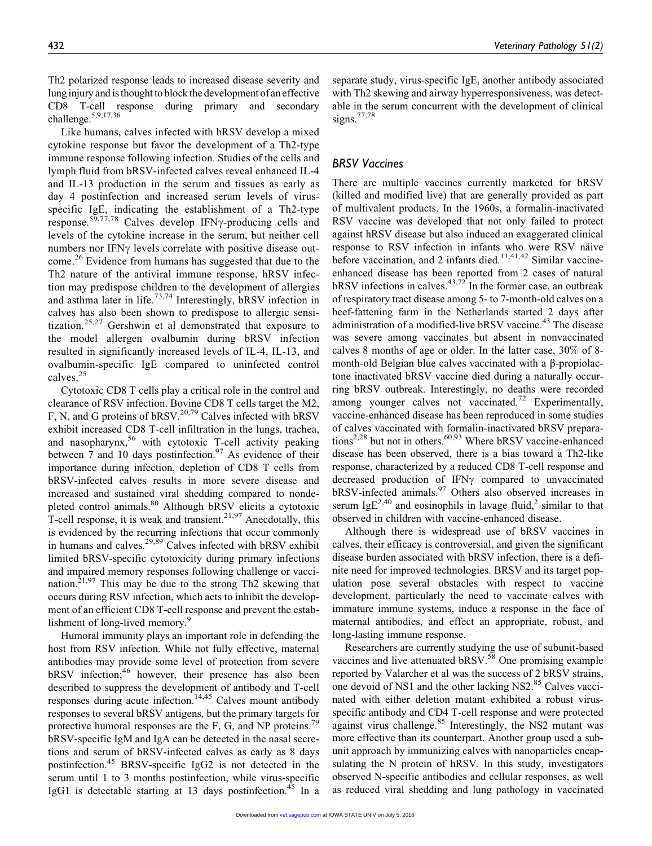Th2 polarized response leads to increased disease severity and lunginjury and is thought to block the development of an effective CD8 T-cell response during primary and secondary challenge.5,9,17,36

Like humans, calves infected with bRSV develop a mixed cytokine response but favor the development of a Th2-type immune response following infection. Studies of the cells and lymph fluid from bRSV-infected calves reveal enhanced IL-4 and IL-13 production in the serum and tissues as early as day 4 postinfection and increased serum levels of virusspecific IgE, indicating the establishment of a Th2-type response.<sup>59,77,78</sup> Calves develop IFN $\gamma$ -producing cells and levels of the cytokine increase in the serum, but neither cell numbers nor IFN $\gamma$  levels correlate with positive disease outcome.<sup>26</sup> Evidence from humans has suggested that due to the Th2 nature of the antiviral immune response, hRSV infection may predispose children to the development of allergies and asthma later in life.<sup>73,74</sup> Interestingly, bRSV infection in calves has also been shown to predispose to allergic sensitization. $25,27$  Gershwin et al demonstrated that exposure to the model allergen ovalbumin during bRSV infection resulted in significantly increased levels of IL-4, IL-13, and ovalbumin-specific IgE compared to uninfected control calves.<sup>25</sup>

Cytotoxic CD8 T cells play a critical role in the control and clearance of RSV infection. Bovine CD8 T cells target the M2, F, N, and G proteins of bRSV.<sup>20,79</sup> Calves infected with bRSV exhibit increased CD8 T-cell infiltration in the lungs, trachea, and nasopharynx,<sup>56</sup> with cytotoxic T-cell activity peaking between 7 and 10 days postinfection.<sup>97</sup> As evidence of their importance during infection, depletion of CD8 T cells from bRSV-infected calves results in more severe disease and increased and sustained viral shedding compared to nondepleted control animals.<sup>80</sup> Although bRSV elicits a cytotoxic T-cell response, it is weak and transient.<sup>21,97</sup> Anecdotally, this is evidenced by the recurring infections that occur commonly in humans and calves.<sup>29,89</sup> Calves infected with bRSV exhibit limited bRSV-specific cytotoxicity during primary infections and impaired memory responses following challenge or vaccination.<sup>21,97</sup> This may be due to the strong Th<sub>2</sub> skewing that occurs during RSV infection, which acts to inhibit the development of an efficient CD8 T-cell response and prevent the establishment of long-lived memory.<sup>9</sup>

Humoral immunity plays an important role in defending the host from RSV infection. While not fully effective, maternal antibodies may provide some level of protection from severe  $bRSV$  infection;<sup>46</sup> however, their presence has also been described to suppress the development of antibody and T-cell responses during acute infection.<sup>14,45</sup> Calves mount antibody responses to several bRSV antigens, but the primary targets for protective humoral responses are the F, G, and NP proteins.<sup>79</sup> bRSV-specific IgM and IgA can be detected in the nasal secretions and serum of bRSV-infected calves as early as 8 days postinfection.<sup>45</sup> BRSV-specific IgG2 is not detected in the serum until 1 to 3 months postinfection, while virus-specific IgG1 is detectable starting at 13 days postinfection.<sup>45</sup> In a

separate study, virus-specific IgE, another antibody associated with Th2 skewing and airway hyperresponsiveness, was detectable in the serum concurrent with the development of clinical signs. $77,78$ 

# BRSV Vaccines

There are multiple vaccines currently marketed for bRSV (killed and modified live) that are generally provided as part of multivalent products. In the 1960s, a formalin-inactivated RSV vaccine was developed that not only failed to protect against hRSV disease but also induced an exaggerated clinical response to RSV infection in infants who were RSV näive before vaccination, and 2 infants died.<sup>11,41,42</sup> Similar vaccineenhanced disease has been reported from 2 cases of natural  $bRSV$  infections in calves.<sup>43,72</sup> In the former case, an outbreak of respiratory tract disease among 5- to 7-month-old calves on a beef-fattening farm in the Netherlands started 2 days after administration of a modified-live bRSV vaccine.<sup>43</sup> The disease was severe among vaccinates but absent in nonvaccinated calves 8 months of age or older. In the latter case, 30% of 8 month-old Belgian blue calves vaccinated with a  $\beta$ -propiolactone inactivated bRSV vaccine died during a naturally occurring bRSV outbreak. Interestingly, no deaths were recorded among younger calves not vaccinated.<sup>72</sup> Experimentally, vaccine-enhanced disease has been reproduced in some studies of calves vaccinated with formalin-inactivated bRSV preparations<sup>2,28</sup> but not in others.<sup>60,93</sup> Where bRSV vaccine-enhanced disease has been observed, there is a bias toward a Th2-like response, characterized by a reduced CD8 T-cell response and decreased production of IFN $\gamma$  compared to unvaccinated bRSV-infected animals.<sup>97</sup> Others also observed increases in serum Ig $E^{2,40}$  and eosinophils in lavage fluid,<sup>2</sup> similar to that observed in children with vaccine-enhanced disease.

Although there is widespread use of bRSV vaccines in calves, their efficacy is controversial, and given the significant disease burden associated with bRSV infection, there is a definite need for improved technologies. BRSV and its target population pose several obstacles with respect to vaccine development, particularly the need to vaccinate calves with immature immune systems, induce a response in the face of maternal antibodies, and effect an appropriate, robust, and long-lasting immune response.

Researchers are currently studying the use of subunit-based vaccines and live attenuated bRSV.<sup>58</sup> One promising example reported by Valarcher et al was the success of 2 bRSV strains, one devoid of NS1 and the other lacking NS2.<sup>85</sup> Calves vaccinated with either deletion mutant exhibited a robust virusspecific antibody and CD4 T-cell response and were protected against virus challenge.<sup>85</sup> Interestingly, the NS2 mutant was more effective than its counterpart. Another group used a subunit approach by immunizing calves with nanoparticles encapsulating the N protein of hRSV. In this study, investigators observed N-specific antibodies and cellular responses, as well as reduced viral shedding and lung pathology in vaccinated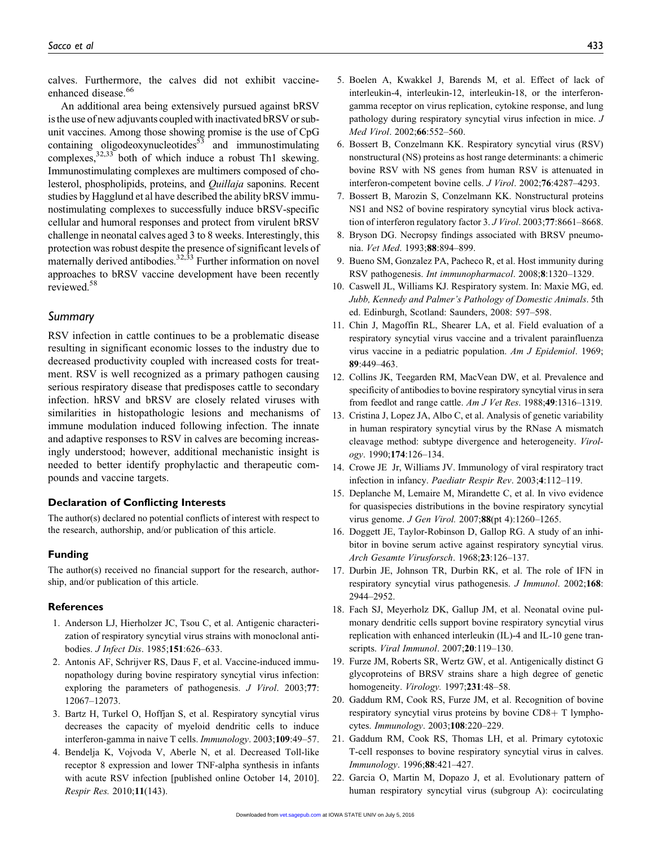calves. Furthermore, the calves did not exhibit vaccineenhanced disease.<sup>66</sup>

An additional area being extensively pursued against bRSV is the use of new adjuvants coupled with inactivated bRSV or subunit vaccines. Among those showing promise is the use of CpG containing oligodeoxynucleotides<sup>53</sup> and immunostimulating complexes,32,33 both of which induce a robust Th1 skewing. Immunostimulating complexes are multimers composed of cholesterol, phospholipids, proteins, and Quillaja saponins. Recent studies by Hagglund et al have described the ability bRSV immunostimulating complexes to successfully induce bRSV-specific cellular and humoral responses and protect from virulent bRSV challenge in neonatal calves aged 3 to 8 weeks. Interestingly, this protection was robust despite the presence of significant levels of maternally derived antibodies. $32,33$  Further information on novel approaches to bRSV vaccine development have been recently reviewed.58

## Summary

RSV infection in cattle continues to be a problematic disease resulting in significant economic losses to the industry due to decreased productivity coupled with increased costs for treatment. RSV is well recognized as a primary pathogen causing serious respiratory disease that predisposes cattle to secondary infection. hRSV and bRSV are closely related viruses with similarities in histopathologic lesions and mechanisms of immune modulation induced following infection. The innate and adaptive responses to RSV in calves are becoming increasingly understood; however, additional mechanistic insight is needed to better identify prophylactic and therapeutic compounds and vaccine targets.

#### Declaration of Conflicting Interests

The author(s) declared no potential conflicts of interest with respect to the research, authorship, and/or publication of this article.

#### Funding

The author(s) received no financial support for the research, authorship, and/or publication of this article.

## **References**

- 1. Anderson LJ, Hierholzer JC, Tsou C, et al. Antigenic characterization of respiratory syncytial virus strains with monoclonal antibodies. J Infect Dis. 1985;151:626–633.
- 2. Antonis AF, Schrijver RS, Daus F, et al. Vaccine-induced immunopathology during bovine respiratory syncytial virus infection: exploring the parameters of pathogenesis. J Virol. 2003;77: 12067–12073.
- 3. Bartz H, Turkel O, Hoffjan S, et al. Respiratory syncytial virus decreases the capacity of myeloid dendritic cells to induce interferon-gamma in naive T cells. Immunology. 2003;109:49–57.
- 4. Bendelja K, Vojvoda V, Aberle N, et al. Decreased Toll-like receptor 8 expression and lower TNF-alpha synthesis in infants with acute RSV infection [published online October 14, 2010]. Respir Res. 2010;11(143).
- 5. Boelen A, Kwakkel J, Barends M, et al. Effect of lack of interleukin-4, interleukin-12, interleukin-18, or the interferongamma receptor on virus replication, cytokine response, and lung pathology during respiratory syncytial virus infection in mice. J Med Virol. 2002;66:552–560.
- 6. Bossert B, Conzelmann KK. Respiratory syncytial virus (RSV) nonstructural (NS) proteins as host range determinants: a chimeric bovine RSV with NS genes from human RSV is attenuated in interferon-competent bovine cells. J Virol. 2002;76:4287–4293.
- 7. Bossert B, Marozin S, Conzelmann KK. Nonstructural proteins NS1 and NS2 of bovine respiratory syncytial virus block activation of interferon regulatory factor 3. J Virol. 2003;77:8661–8668.
- 8. Bryson DG. Necropsy findings associated with BRSV pneumonia. Vet Med. 1993;88:894–899.
- 9. Bueno SM, Gonzalez PA, Pacheco R, et al. Host immunity during RSV pathogenesis. Int immunopharmacol. 2008;8:1320–1329.
- 10. Caswell JL, Williams KJ. Respiratory system. In: Maxie MG, ed. Jubb, Kennedy and Palmer's Pathology of Domestic Animals. 5th ed. Edinburgh, Scotland: Saunders, 2008: 597–598.
- 11. Chin J, Magoffin RL, Shearer LA, et al. Field evaluation of a respiratory syncytial virus vaccine and a trivalent parainfluenza virus vaccine in a pediatric population. Am J Epidemiol. 1969; 89:449–463.
- 12. Collins JK, Teegarden RM, MacVean DW, et al. Prevalence and specificity of antibodies to bovine respiratory syncytial virus in sera from feedlot and range cattle. Am J Vet Res. 1988;49:1316–1319.
- 13. Cristina J, Lopez JA, Albo C, et al. Analysis of genetic variability in human respiratory syncytial virus by the RNase A mismatch cleavage method: subtype divergence and heterogeneity. Virology. 1990;174:126–134.
- 14. Crowe JE Jr, Williams JV. Immunology of viral respiratory tract infection in infancy. Paediatr Respir Rev. 2003;4:112–119.
- 15. Deplanche M, Lemaire M, Mirandette C, et al. In vivo evidence for quasispecies distributions in the bovine respiratory syncytial virus genome. *J Gen Virol.* 2007;88(pt 4):1260-1265.
- 16. Doggett JE, Taylor-Robinson D, Gallop RG. A study of an inhibitor in bovine serum active against respiratory syncytial virus. Arch Gesamte Virusforsch. 1968;23:126–137.
- 17. Durbin JE, Johnson TR, Durbin RK, et al. The role of IFN in respiratory syncytial virus pathogenesis. J Immunol. 2002;168: 2944–2952.
- 18. Fach SJ, Meyerholz DK, Gallup JM, et al. Neonatal ovine pulmonary dendritic cells support bovine respiratory syncytial virus replication with enhanced interleukin (IL)-4 and IL-10 gene transcripts. Viral Immunol. 2007;20:119–130.
- 19. Furze JM, Roberts SR, Wertz GW, et al. Antigenically distinct G glycoproteins of BRSV strains share a high degree of genetic homogeneity. Virology. 1997;231:48–58.
- 20. Gaddum RM, Cook RS, Furze JM, et al. Recognition of bovine respiratory syncytial virus proteins by bovine  $CD8+T$  lymphocytes. Immunology. 2003;108:220–229.
- 21. Gaddum RM, Cook RS, Thomas LH, et al. Primary cytotoxic T-cell responses to bovine respiratory syncytial virus in calves. Immunology. 1996;88:421–427.
- 22. Garcia O, Martin M, Dopazo J, et al. Evolutionary pattern of human respiratory syncytial virus (subgroup A): cocirculating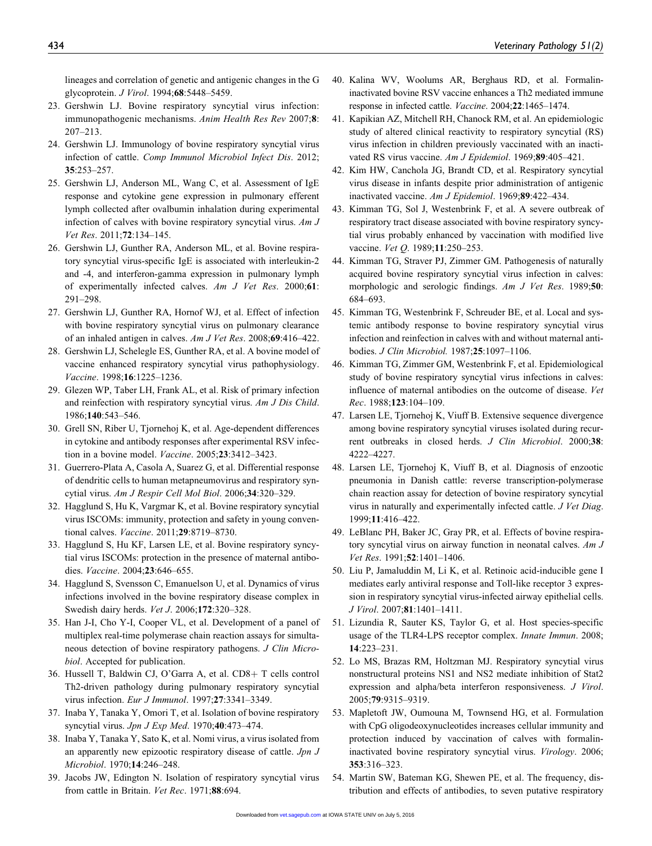lineages and correlation of genetic and antigenic changes in the G glycoprotein. J Virol. 1994;68:5448–5459.

- 23. Gershwin LJ. Bovine respiratory syncytial virus infection: immunopathogenic mechanisms. Anim Health Res Rev 2007;8: 207–213.
- 24. Gershwin LJ. Immunology of bovine respiratory syncytial virus infection of cattle. Comp Immunol Microbiol Infect Dis. 2012; 35:253–257.
- 25. Gershwin LJ, Anderson ML, Wang C, et al. Assessment of IgE response and cytokine gene expression in pulmonary efferent lymph collected after ovalbumin inhalation during experimental infection of calves with bovine respiratory syncytial virus. Am J Vet Res. 2011;72:134–145.
- 26. Gershwin LJ, Gunther RA, Anderson ML, et al. Bovine respiratory syncytial virus-specific IgE is associated with interleukin-2 and -4, and interferon-gamma expression in pulmonary lymph of experimentally infected calves. Am J Vet Res. 2000;61: 291–298.
- 27. Gershwin LJ, Gunther RA, Hornof WJ, et al. Effect of infection with bovine respiratory syncytial virus on pulmonary clearance of an inhaled antigen in calves. Am J Vet Res. 2008;69:416–422.
- 28. Gershwin LJ, Schelegle ES, Gunther RA, et al. A bovine model of vaccine enhanced respiratory syncytial virus pathophysiology. Vaccine. 1998;16:1225–1236.
- 29. Glezen WP, Taber LH, Frank AL, et al. Risk of primary infection and reinfection with respiratory syncytial virus. Am J Dis Child. 1986;140:543–546.
- 30. Grell SN, Riber U, Tjornehoj K, et al. Age-dependent differences in cytokine and antibody responses after experimental RSV infection in a bovine model. Vaccine. 2005;23:3412–3423.
- 31. Guerrero-Plata A, Casola A, Suarez G, et al. Differential response of dendritic cells to human metapneumovirus and respiratory syncytial virus. Am J Respir Cell Mol Biol. 2006;34:320-329.
- 32. Hagglund S, Hu K, Vargmar K, et al. Bovine respiratory syncytial virus ISCOMs: immunity, protection and safety in young conventional calves. Vaccine. 2011;29:8719–8730.
- 33. Hagglund S, Hu KF, Larsen LE, et al. Bovine respiratory syncytial virus ISCOMs: protection in the presence of maternal antibodies. Vaccine. 2004;23:646–655.
- 34. Hagglund S, Svensson C, Emanuelson U, et al. Dynamics of virus infections involved in the bovine respiratory disease complex in Swedish dairy herds. Vet J. 2006;172:320–328.
- 35. Han J-I, Cho Y-I, Cooper VL, et al. Development of a panel of multiplex real-time polymerase chain reaction assays for simultaneous detection of bovine respiratory pathogens. J Clin Microbiol. Accepted for publication.
- 36. Hussell T, Baldwin CJ, O'Garra A, et al. CD8+ T cells control Th2-driven pathology during pulmonary respiratory syncytial virus infection. Eur J Immunol. 1997;27:3341–3349.
- 37. Inaba Y, Tanaka Y, Omori T, et al. Isolation of bovine respiratory syncytial virus. Jpn J Exp Med. 1970;40:473–474.
- 38. Inaba Y, Tanaka Y, Sato K, et al. Nomi virus, a virus isolated from an apparently new epizootic respiratory disease of cattle. Jpn J Microbiol. 1970;14:246–248.
- 39. Jacobs JW, Edington N. Isolation of respiratory syncytial virus from cattle in Britain. Vet Rec. 1971;88:694.
- 40. Kalina WV, Woolums AR, Berghaus RD, et al. Formalininactivated bovine RSV vaccine enhances a Th2 mediated immune response in infected cattle. Vaccine. 2004;22:1465–1474.
- 41. Kapikian AZ, Mitchell RH, Chanock RM, et al. An epidemiologic study of altered clinical reactivity to respiratory syncytial (RS) virus infection in children previously vaccinated with an inactivated RS virus vaccine. Am J Epidemiol. 1969;89:405-421.
- 42. Kim HW, Canchola JG, Brandt CD, et al. Respiratory syncytial virus disease in infants despite prior administration of antigenic inactivated vaccine. Am J Epidemiol. 1969;89:422–434.
- 43. Kimman TG, Sol J, Westenbrink F, et al. A severe outbreak of respiratory tract disease associated with bovine respiratory syncytial virus probably enhanced by vaccination with modified live vaccine. Vet Q. 1989;11:250-253.
- 44. Kimman TG, Straver PJ, Zimmer GM. Pathogenesis of naturally acquired bovine respiratory syncytial virus infection in calves: morphologic and serologic findings. Am J Vet Res. 1989;50: 684–693.
- 45. Kimman TG, Westenbrink F, Schreuder BE, et al. Local and systemic antibody response to bovine respiratory syncytial virus infection and reinfection in calves with and without maternal antibodies. J Clin Microbiol. 1987;25:1097–1106.
- 46. Kimman TG, Zimmer GM, Westenbrink F, et al. Epidemiological study of bovine respiratory syncytial virus infections in calves: influence of maternal antibodies on the outcome of disease. Vet Rec. 1988;123:104–109.
- 47. Larsen LE, Tjornehoj K, Viuff B. Extensive sequence divergence among bovine respiratory syncytial viruses isolated during recurrent outbreaks in closed herds. J Clin Microbiol. 2000;38: 4222–4227.
- 48. Larsen LE, Tjornehoj K, Viuff B, et al. Diagnosis of enzootic pneumonia in Danish cattle: reverse transcription-polymerase chain reaction assay for detection of bovine respiratory syncytial virus in naturally and experimentally infected cattle. J Vet Diag. 1999;11:416–422.
- 49. LeBlanc PH, Baker JC, Gray PR, et al. Effects of bovine respiratory syncytial virus on airway function in neonatal calves. Am J Vet Res. 1991;52:1401–1406.
- 50. Liu P, Jamaluddin M, Li K, et al. Retinoic acid-inducible gene I mediates early antiviral response and Toll-like receptor 3 expression in respiratory syncytial virus-infected airway epithelial cells. J Virol. 2007;81:1401–1411.
- 51. Lizundia R, Sauter KS, Taylor G, et al. Host species-specific usage of the TLR4-LPS receptor complex. Innate Immun. 2008; 14:223–231.
- 52. Lo MS, Brazas RM, Holtzman MJ. Respiratory syncytial virus nonstructural proteins NS1 and NS2 mediate inhibition of Stat2 expression and alpha/beta interferon responsiveness. J Virol. 2005;79:9315–9319.
- 53. Mapletoft JW, Oumouna M, Townsend HG, et al. Formulation with CpG oligodeoxynucleotides increases cellular immunity and protection induced by vaccination of calves with formalininactivated bovine respiratory syncytial virus. Virology. 2006; 353:316–323.
- 54. Martin SW, Bateman KG, Shewen PE, et al. The frequency, distribution and effects of antibodies, to seven putative respiratory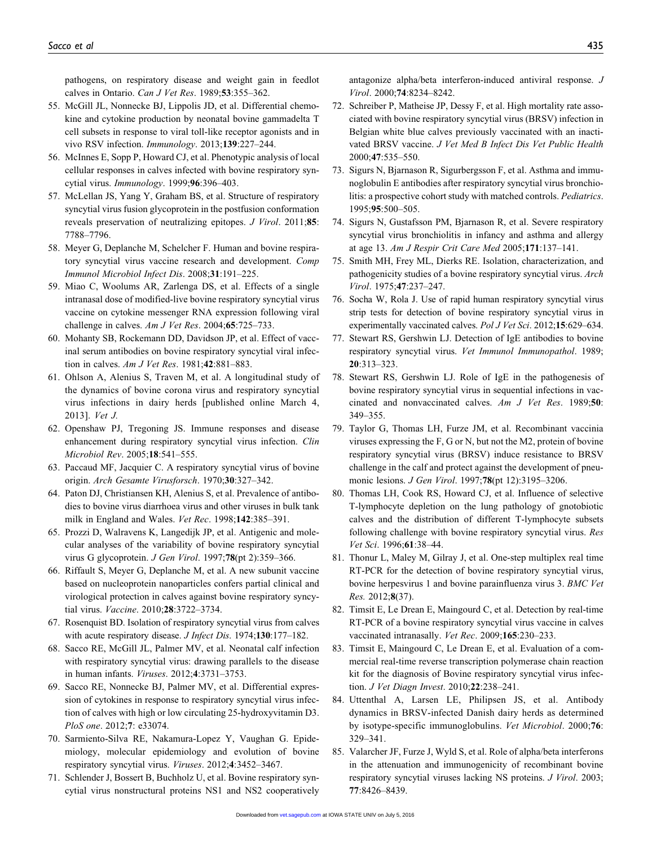pathogens, on respiratory disease and weight gain in feedlot calves in Ontario. Can J Vet Res. 1989;53:355-362.

- 55. McGill JL, Nonnecke BJ, Lippolis JD, et al. Differential chemokine and cytokine production by neonatal bovine gammadelta T cell subsets in response to viral toll-like receptor agonists and in vivo RSV infection. Immunology. 2013;139:227–244.
- 56. McInnes E, Sopp P, Howard CJ, et al. Phenotypic analysis of local cellular responses in calves infected with bovine respiratory syncytial virus. Immunology. 1999;96:396-403.
- 57. McLellan JS, Yang Y, Graham BS, et al. Structure of respiratory syncytial virus fusion glycoprotein in the postfusion conformation reveals preservation of neutralizing epitopes. J Virol. 2011;85: 7788–7796.
- 58. Meyer G, Deplanche M, Schelcher F. Human and bovine respiratory syncytial virus vaccine research and development. Comp Immunol Microbiol Infect Dis. 2008;31:191–225.
- 59. Miao C, Woolums AR, Zarlenga DS, et al. Effects of a single intranasal dose of modified-live bovine respiratory syncytial virus vaccine on cytokine messenger RNA expression following viral challenge in calves. Am J Vet Res. 2004;65:725-733.
- 60. Mohanty SB, Rockemann DD, Davidson JP, et al. Effect of vaccinal serum antibodies on bovine respiratory syncytial viral infection in calves. Am J Vet Res. 1981;42:881–883.
- 61. Ohlson A, Alenius S, Traven M, et al. A longitudinal study of the dynamics of bovine corona virus and respiratory syncytial virus infections in dairy herds [published online March 4, 2013]. Vet J.
- 62. Openshaw PJ, Tregoning JS. Immune responses and disease enhancement during respiratory syncytial virus infection. Clin Microbiol Rev. 2005;18:541–555.
- 63. Paccaud MF, Jacquier C. A respiratory syncytial virus of bovine origin. Arch Gesamte Virusforsch. 1970;30:327–342.
- 64. Paton DJ, Christiansen KH, Alenius S, et al. Prevalence of antibodies to bovine virus diarrhoea virus and other viruses in bulk tank milk in England and Wales. Vet Rec. 1998;142:385-391.
- 65. Prozzi D, Walravens K, Langedijk JP, et al. Antigenic and molecular analyses of the variability of bovine respiratory syncytial virus G glycoprotein. J Gen Virol. 1997;78(pt 2):359–366.
- 66. Riffault S, Meyer G, Deplanche M, et al. A new subunit vaccine based on nucleoprotein nanoparticles confers partial clinical and virological protection in calves against bovine respiratory syncytial virus. Vaccine. 2010;28:3722–3734.
- 67. Rosenquist BD. Isolation of respiratory syncytial virus from calves with acute respiratory disease. J Infect Dis. 1974;130:177-182.
- 68. Sacco RE, McGill JL, Palmer MV, et al. Neonatal calf infection with respiratory syncytial virus: drawing parallels to the disease in human infants. Viruses. 2012;4:3731–3753.
- 69. Sacco RE, Nonnecke BJ, Palmer MV, et al. Differential expression of cytokines in response to respiratory syncytial virus infection of calves with high or low circulating 25-hydroxyvitamin D3. PloS one. 2012;7: e33074.
- 70. Sarmiento-Silva RE, Nakamura-Lopez Y, Vaughan G. Epidemiology, molecular epidemiology and evolution of bovine respiratory syncytial virus. Viruses. 2012;4:3452–3467.
- 71. Schlender J, Bossert B, Buchholz U, et al. Bovine respiratory syncytial virus nonstructural proteins NS1 and NS2 cooperatively

antagonize alpha/beta interferon-induced antiviral response. J Virol. 2000;74:8234–8242.

- 72. Schreiber P, Matheise JP, Dessy F, et al. High mortality rate associated with bovine respiratory syncytial virus (BRSV) infection in Belgian white blue calves previously vaccinated with an inactivated BRSV vaccine. J Vet Med B Infect Dis Vet Public Health 2000;47:535–550.
- 73. Sigurs N, Bjarnason R, Sigurbergsson F, et al. Asthma and immunoglobulin E antibodies after respiratory syncytial virus bronchiolitis: a prospective cohort study with matched controls. Pediatrics. 1995;95:500–505.
- 74. Sigurs N, Gustafsson PM, Bjarnason R, et al. Severe respiratory syncytial virus bronchiolitis in infancy and asthma and allergy at age 13. Am J Respir Crit Care Med 2005;171:137–141.
- 75. Smith MH, Frey ML, Dierks RE. Isolation, characterization, and pathogenicity studies of a bovine respiratory syncytial virus. Arch Virol. 1975;47:237–247.
- 76. Socha W, Rola J. Use of rapid human respiratory syncytial virus strip tests for detection of bovine respiratory syncytial virus in experimentally vaccinated calves. Pol J Vet Sci. 2012;15:629-634.
- 77. Stewart RS, Gershwin LJ. Detection of IgE antibodies to bovine respiratory syncytial virus. Vet Immunol Immunopathol. 1989; 20:313–323.
- 78. Stewart RS, Gershwin LJ. Role of IgE in the pathogenesis of bovine respiratory syncytial virus in sequential infections in vaccinated and nonvaccinated calves. Am J Vet Res. 1989;50: 349–355.
- 79. Taylor G, Thomas LH, Furze JM, et al. Recombinant vaccinia viruses expressing the F, G or N, but not the M2, protein of bovine respiratory syncytial virus (BRSV) induce resistance to BRSV challenge in the calf and protect against the development of pneumonic lesions. J Gen Virol. 1997;78(pt 12):3195-3206.
- 80. Thomas LH, Cook RS, Howard CJ, et al. Influence of selective T-lymphocyte depletion on the lung pathology of gnotobiotic calves and the distribution of different T-lymphocyte subsets following challenge with bovine respiratory syncytial virus. Res Vet Sci. 1996;61:38–44.
- 81. Thonur L, Maley M, Gilray J, et al. One-step multiplex real time RT-PCR for the detection of bovine respiratory syncytial virus, bovine herpesvirus 1 and bovine parainfluenza virus 3. BMC Vet Res. 2012;8(37).
- 82. Timsit E, Le Drean E, Maingourd C, et al. Detection by real-time RT-PCR of a bovine respiratory syncytial virus vaccine in calves vaccinated intranasally. Vet Rec. 2009;165:230–233.
- 83. Timsit E, Maingourd C, Le Drean E, et al. Evaluation of a commercial real-time reverse transcription polymerase chain reaction kit for the diagnosis of Bovine respiratory syncytial virus infection. J Vet Diagn Invest. 2010;22:238–241.
- 84. Uttenthal A, Larsen LE, Philipsen JS, et al. Antibody dynamics in BRSV-infected Danish dairy herds as determined by isotype-specific immunoglobulins. Vet Microbiol. 2000;76: 329–341.
- 85. Valarcher JF, Furze J, Wyld S, et al. Role of alpha/beta interferons in the attenuation and immunogenicity of recombinant bovine respiratory syncytial viruses lacking NS proteins. J Virol. 2003; 77:8426–8439.